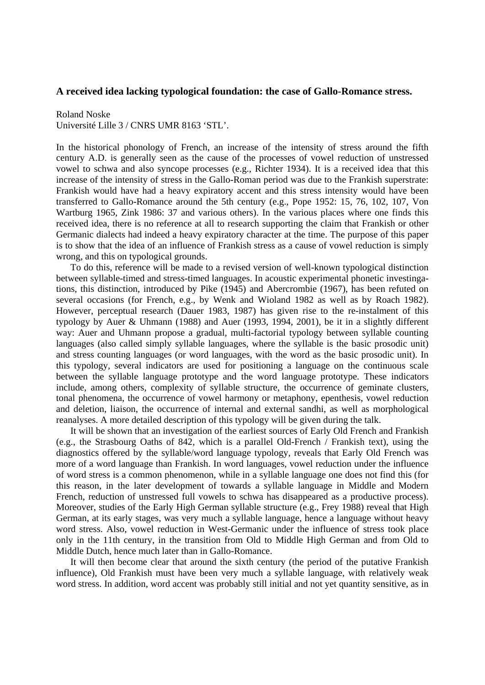## **A received idea lacking typological foundation: the case of Gallo-Romance stress.**

## Roland Noske

Université Lille 3 / CNRS UMR 8163 'STL'.

In the historical phonology of French, an increase of the intensity of stress around the fifth century A.D. is generally seen as the cause of the processes of vowel reduction of unstressed vowel to schwa and also syncope processes (e.g., Richter 1934). It is a received idea that this increase of the intensity of stress in the Gallo-Roman period was due to the Frankish superstrate: Frankish would have had a heavy expiratory accent and this stress intensity would have been transferred to Gallo-Romance around the 5th century (e.g., Pope 1952: 15, 76, 102, 107, Von Wartburg 1965, Zink 1986: 37 and various others). In the various places where one finds this received idea, there is no reference at all to research supporting the claim that Frankish or other Germanic dialects had indeed a heavy expiratory character at the time. The purpose of this paper is to show that the idea of an influence of Frankish stress as a cause of vowel reduction is simply wrong, and this on typological grounds.

 To do this, reference will be made to a revised version of well-known typological distinction between syllable-timed and stress-timed languages. In acoustic experimental phonetic investingations, this distinction, introduced by Pike (1945) and Abercrombie (1967), has been refuted on several occasions (for French, e.g., by Wenk and Wioland 1982 as well as by Roach 1982). However, perceptual research (Dauer 1983, 1987) has given rise to the re-instalment of this typology by Auer & Uhmann (1988) and Auer (1993, 1994, 2001), be it in a slightly different way: Auer and Uhmann propose a gradual, multi-factorial typology between syllable counting languages (also called simply syllable languages, where the syllable is the basic prosodic unit) and stress counting languages (or word languages, with the word as the basic prosodic unit). In this typology, several indicators are used for positioning a language on the continuous scale between the syllable language prototype and the word language prototype. These indicators include, among others, complexity of syllable structure, the occurrence of geminate clusters, tonal phenomena, the occurrence of vowel harmony or metaphony, epenthesis, vowel reduction and deletion, liaison, the occurrence of internal and external sandhi, as well as morphological reanalyses. A more detailed description of this typology will be given during the talk.

 It will be shown that an investigation of the earliest sources of Early Old French and Frankish (e.g., the Strasbourg Oaths of 842, which is a parallel Old-French / Frankish text), using the diagnostics offered by the syllable/word language typology, reveals that Early Old French was more of a word language than Frankish. In word languages, vowel reduction under the influence of word stress is a common phenomenon, while in a syllable language one does not find this (for this reason, in the later development of towards a syllable language in Middle and Modern French, reduction of unstressed full vowels to schwa has disappeared as a productive process). Moreover, studies of the Early High German syllable structure (e.g., Frey 1988) reveal that High German, at its early stages, was very much a syllable language, hence a language without heavy word stress. Also, vowel reduction in West-Germanic under the influence of stress took place only in the 11th century, in the transition from Old to Middle High German and from Old to Middle Dutch, hence much later than in Gallo-Romance.

 It will then become clear that around the sixth century (the period of the putative Frankish influence), Old Frankish must have been very much a syllable language, with relatively weak word stress. In addition, word accent was probably still initial and not yet quantity sensitive, as in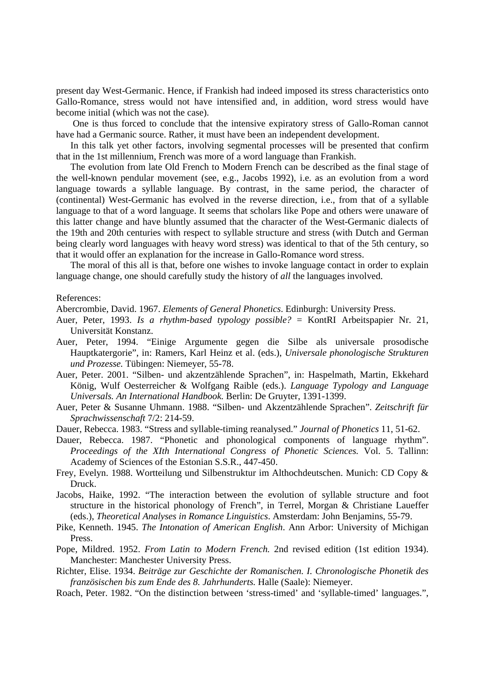present day West-Germanic. Hence, if Frankish had indeed imposed its stress characteristics onto Gallo-Romance, stress would not have intensified and, in addition, word stress would have become initial (which was not the case).

 One is thus forced to conclude that the intensive expiratory stress of Gallo-Roman cannot have had a Germanic source. Rather, it must have been an independent development.

 In this talk yet other factors, involving segmental processes will be presented that confirm that in the 1st millennium, French was more of a word language than Frankish.

 The evolution from late Old French to Modern French can be described as the final stage of the well-known pendular movement (see, e.g., Jacobs 1992), i.e. as an evolution from a word language towards a syllable language. By contrast, in the same period, the character of (continental) West-Germanic has evolved in the reverse direction, i.e., from that of a syllable language to that of a word language. It seems that scholars like Pope and others were unaware of this latter change and have bluntly assumed that the character of the West-Germanic dialects of the 19th and 20th centuries with respect to syllable structure and stress (with Dutch and German being clearly word languages with heavy word stress) was identical to that of the 5th century, so that it would offer an explanation for the increase in Gallo-Romance word stress.

 The moral of this all is that, before one wishes to invoke language contact in order to explain language change, one should carefully study the history of *all* the languages involved.

## References:

Abercrombie, David. 1967. *Elements of General Phonetics*. Edinburgh: University Press.

- Auer, Peter, 1993. *Is a rhythm-based typology possible?* = KontRI Arbeitspapier Nr. 21, Universität Konstanz.
- Auer, Peter, 1994. "Einige Argumente gegen die Silbe als universale prosodische Hauptkatergorie", in: Ramers, Karl Heinz et al. (eds.), *Universale phonologische Strukturen und Prozesse.* Tübingen: Niemeyer, 55-78.
- Auer, Peter. 2001. "Silben- und akzentzählende Sprachen", in: Haspelmath, Martin, Ekkehard König, Wulf Oesterreicher & Wolfgang Raible (eds.). *Language Typology and Language Universals. An International Handbook.* Berlin: De Gruyter, 1391-1399.
- Auer, Peter & Susanne Uhmann. 1988. "Silben- und Akzentzählende Sprachen". *Zeitschrift für Sprachwissenschaft* 7/2: 214-59.
- Dauer, Rebecca. 1983. "Stress and syllable-timing reanalysed." *Journal of Phonetics* 11, 51-62.
- Dauer, Rebecca. 1987. "Phonetic and phonological components of language rhythm". *Proceedings of the XIth International Congress of Phonetic Sciences.* Vol. 5. Tallinn: Academy of Sciences of the Estonian S.S.R., 447-450.
- Frey, Evelyn. 1988. Wortteilung und Silbenstruktur im Althochdeutschen. Munich: CD Copy & Druck.
- Jacobs, Haike, 1992. "The interaction between the evolution of syllable structure and foot structure in the historical phonology of French", in Terrel, Morgan & Christiane Laueffer (eds.), *Theoretical Analyses in Romance Linguistics*. Amsterdam: John Benjamins, 55-79.
- Pike, Kenneth. 1945. *The Intonation of American English*. Ann Arbor: University of Michigan Press.
- Pope, Mildred. 1952. *From Latin to Modern French.* 2nd revised edition (1st edition 1934). Manchester: Manchester University Press.
- Richter, Elise. 1934. *Beiträge zur Geschichte der Romanischen. I. Chronologische Phonetik des französischen bis zum Ende des 8. Jahrhunderts.* Halle (Saale): Niemeyer.
- Roach, Peter. 1982. "On the distinction between 'stress-timed' and 'syllable-timed' languages.",